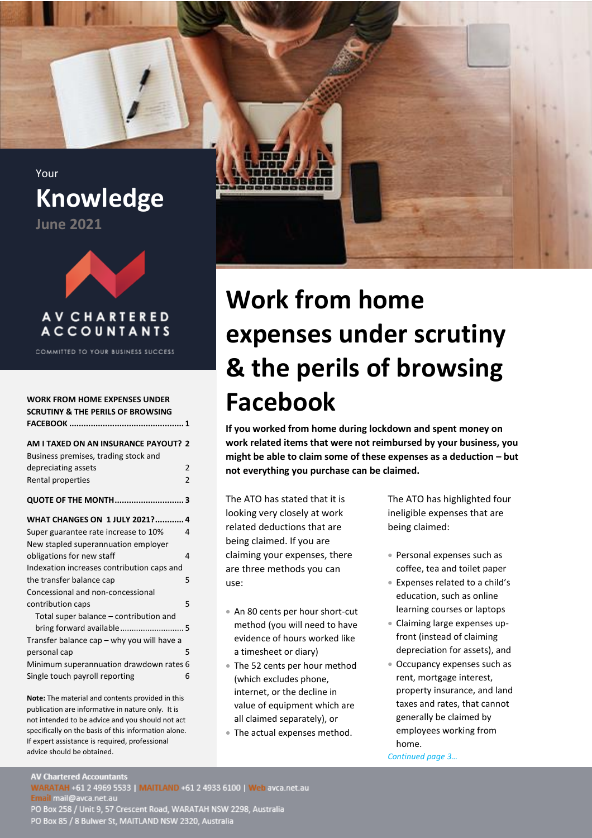<span id="page-0-0"></span>Your **Knowledge**





### **AV CHARTERED ACCOUNTANTS**

COMMITTED TO YOUR BUSINESS SUCCESS

| <b>WORK FROM HOME EXPENSES UNDER</b><br><b>SCRUTINY &amp; THE PERILS OF BROWSING</b> |                |  |  |
|--------------------------------------------------------------------------------------|----------------|--|--|
| AM I TAXED ON AN INSURANCE PAYOUT? 2                                                 |                |  |  |
| Business premises, trading stock and                                                 |                |  |  |
| depreciating assets                                                                  | $\mathfrak{p}$ |  |  |
| Rental properties                                                                    | $\overline{2}$ |  |  |
| <b>QUOTE OF THE MONTH3</b>                                                           |                |  |  |
| <b>WHAT CHANGES ON 1 JULY 2021? 4</b>                                                |                |  |  |
| Super guarantee rate increase to 10%                                                 | 4              |  |  |
| New stapled superannuation employer                                                  |                |  |  |
| obligations for new staff                                                            | 4              |  |  |
| Indexation increases contribution caps and                                           |                |  |  |
| the transfer balance cap                                                             | 5              |  |  |
| Concessional and non-concessional                                                    |                |  |  |
| contribution caps                                                                    | 5              |  |  |
| Total super balance – contribution and                                               |                |  |  |
|                                                                                      |                |  |  |
| Transfer balance cap - why you will have a                                           |                |  |  |
| personal cap                                                                         | 5              |  |  |
| Minimum superannuation drawdown rates 6                                              |                |  |  |
| Single touch payroll reporting                                                       | 6              |  |  |

**Note:** The material and contents provided in this publication are informative in nature only. It is not intended to be advice and you should not act specifically on the basis of this information alone. If expert assistance is required, professional advice should be obtained.



# **Work from home expenses under scrutiny & the perils of browsing Facebook**

**If you worked from home during lockdown and spent money on work related items that were not reimbursed by your business, you might be able to claim some of these expenses as a deduction – but not everything you purchase can be claimed.**

The ATO has stated that it is looking very closely at work related deductions that are being claimed. If you are claiming your expenses, there are three methods you can use:

- An 80 cents per hour short-cut method (you will need to have evidence of hours worked like a timesheet or diary)
- The 52 cents per hour method (which excludes phone, internet, or the decline in value of equipment which are all claimed separately), or
- The actual expenses method.

The ATO has highlighted four ineligible expenses that are being claimed:

- Personal expenses such as coffee, tea and toilet paper
- Expenses related to a child's education, such as online learning courses or laptops
- Claiming large expenses upfront (instead of claiming depreciation for assets), and
- Occupancy expenses such as rent, mortgage interest, property insurance, and land taxes and rates, that cannot generally be claimed by employees working from home.

*Continued page 3…*

**AV Chartered Accountants** 

WARATAH +61 2 4969 5533 | MAITLAND +61 2 4933 6100 | Web avca.net.au<br>Email mail@avca.net.au<br>PO Box 258 / Unit 9, 57 Crescent Road, WARATAH NSW 2298, Australia PO Box 85 / 8 Bulwer St, MAITLAND NSW 2320, Australia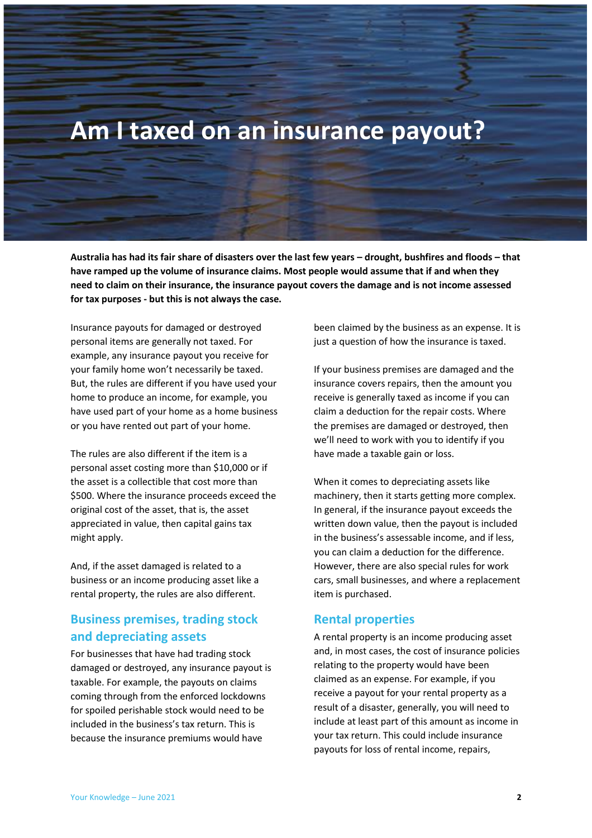# <span id="page-1-0"></span>**Am I taxed on an insurance payout?**

**Australia has had its fair share of disasters over the last few years – drought, bushfires and floods – that have ramped up the volume of insurance claims. Most people would assume that if and when they need to claim on their insurance, the insurance payout covers the damage and is not income assessed for tax purposes - but this is not always the case.** 

Insurance payouts for damaged or destroyed personal items are generally not taxed. For example, any insurance payout you receive for your family home won't necessarily be taxed. But, the rules are different if you have used your home to produce an income, for example, you have used part of your home as a home business or you have rented out part of your home.

The rules are also different if the item is a personal asset costing more than \$10,000 or if the asset is a collectible that cost more than \$500. Where the insurance proceeds exceed the original cost of the asset, that is, the asset appreciated in value, then capital gains tax might apply.

And, if the asset damaged is related to a business or an income producing asset like a rental property, the rules are also different.

#### <span id="page-1-1"></span>**Business premises, trading stock and depreciating assets**

For businesses that have had trading stock damaged or destroyed, any insurance payout is taxable. For example, the payouts on claims coming through from the enforced lockdowns for spoiled perishable stock would need to be included in the business's tax return. This is because the insurance premiums would have

been claimed by the business as an expense. It is just a question of how the insurance is taxed.

If your business premises are damaged and the insurance covers repairs, then the amount you receive is generally taxed as income if you can claim a deduction for the repair costs. Where the premises are damaged or destroyed, then we'll need to work with you to identify if you have made a taxable gain or loss.

When it comes to depreciating assets like machinery, then it starts getting more complex. In general, if the insurance payout exceeds the written down value, then the payout is included in the business's assessable income, and if less, you can claim a deduction for the difference. However, there are also special rules for work cars, small businesses, and where a replacement item is purchased.

#### <span id="page-1-2"></span>**Rental properties**

A rental property is an income producing asset and, in most cases, the cost of insurance policies relating to the property would have been claimed as an expense. For example, if you receive a payout for your rental property as a result of a disaster, generally, you will need to include at least part of this amount as income in your tax return. This could include insurance payouts for loss of rental income, repairs,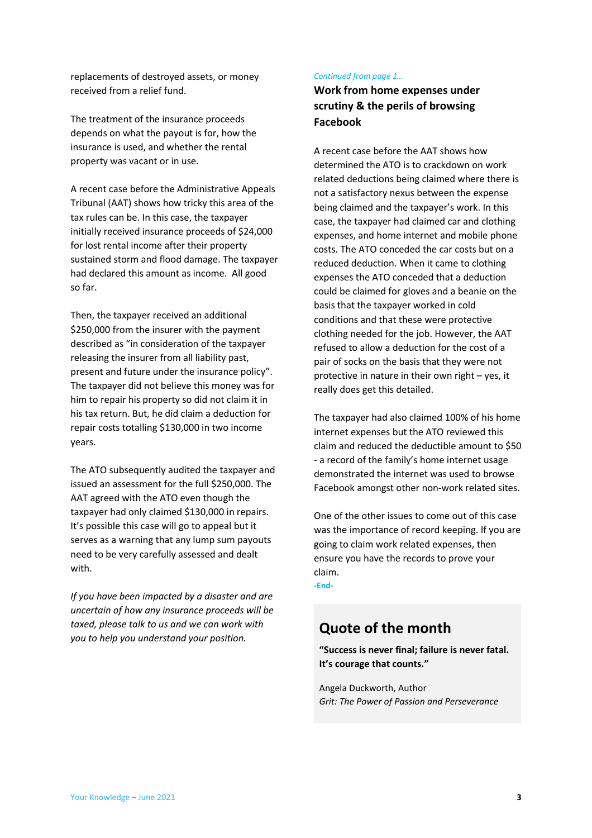replacements of destroyed assets, or money received from a relief fund.

The treatment of the insurance proceeds depends on what the payout is for, how the insurance is used, and whether the rental property was vacant or in use.

A recent case before the Administrative Appeals Tribunal (AAT) shows how tricky this area of the tax rules can be. In this case, the taxpayer initially received insurance proceeds of \$24,000 for lost rental income after their property sustained storm and flood damage. The taxpayer had declared this amount as income. All good so far.

Then, the taxpayer received an additional \$250,000 from the insurer with the payment described as "in consideration of the taxpayer releasing the insurer from all liability past, present and future under the insurance policy". The taxpayer did not believe this money was for him to repair his property so did not claim it in his tax return. But, he did claim a deduction for repair costs totalling \$130,000 in two income years.

The ATO subsequently audited the taxpayer and issued an assessment for the full \$250,000. The AAT agreed with the ATO even though the taxpayer had only claimed \$130,000 in repairs. It's possible this case will go to appeal but it serves as a warning that any lump sum payouts need to be very carefully assessed and dealt with.

*If you have been impacted by a disaster and are uncertain of how any insurance proceeds will be taxed, please talk to us and we can work with you to help you understand your position.*

#### *Continued from page 1…*

#### **Work from home expenses under scrutiny & the perils of browsing Facebook**

A recent case before the AAT shows how determined the ATO is to crackdown on work related deductions being claimed where there is not a satisfactory nexus between the expense being claimed and the taxpayer's work. In this case, the taxpayer had claimed car and clothing expenses, and home internet and mobile phone costs. The ATO conceded the car costs but on a reduced deduction. When it came to clothing expenses the ATO conceded that a deduction could be claimed for gloves and a beanie on the basis that the taxpayer worked in cold conditions and that these were protective clothing needed for the job. However, the AAT refused to allow a deduction for the cost of a pair of socks on the basis that they were not protective in nature in their own right – yes, it really does get this detailed.

The taxpayer had also claimed 100% of his home internet expenses but the ATO reviewed this claim and reduced the deductible amount to \$50 - a record of the family's home internet usage demonstrated the internet was used to browse Facebook amongst other non-work related sites.

One of the other issues to come out of this case was the importance of record keeping. If you are going to claim work related expenses, then ensure you have the records to prove your claim. **-End-**

## <span id="page-2-0"></span>**Quote of the month**

**"Success is never final; failure is never fatal. It's courage that counts."**

Angela Duckworth, Author *Grit: The Power of Passion and Perseverance*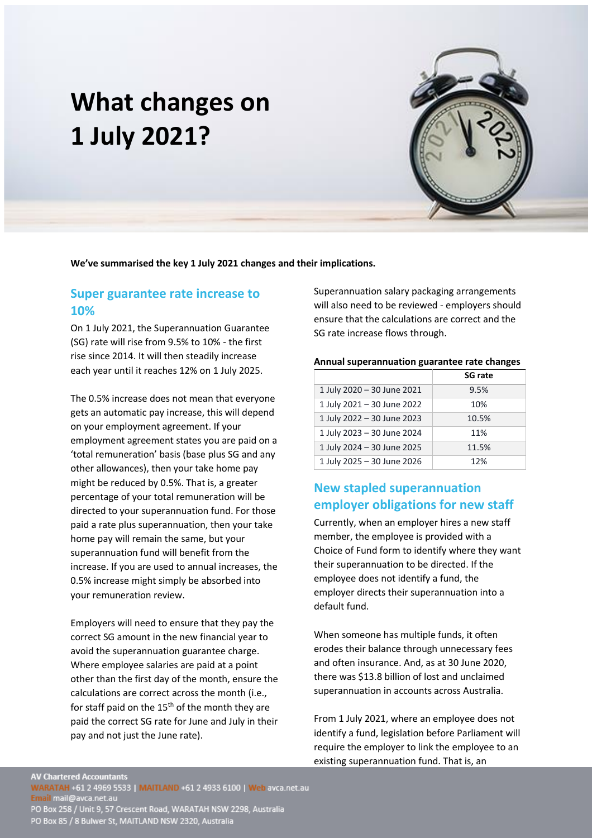# <span id="page-3-0"></span>**What changes on 1 July 2021?**

**We've summarised the key 1 July 2021 changes and their implications.**

#### <span id="page-3-1"></span>**Super guarantee rate increase to 10%**

On 1 July 2021, the Superannuation Guarantee (SG) rate will rise from 9.5% to 10% - the first rise since 2014. It will then steadily increase each year until it reaches 12% on 1 July 2025.

The 0.5% increase does not mean that everyone gets an automatic pay increase, this will depend on your employment agreement. If your employment agreement states you are paid on a 'total remuneration' basis (base plus SG and any other allowances), then your take home pay might be reduced by 0.5%. That is, a greater percentage of your total remuneration will be directed to your superannuation fund. For those paid a rate plus superannuation, then your take home pay will remain the same, but your superannuation fund will benefit from the increase. If you are used to annual increases, the 0.5% increase might simply be absorbed into your remuneration review.

Employers will need to ensure that they pay the correct SG amount in the new financial year to avoid the superannuation guarantee charge. Where employee salaries are paid at a point other than the first day of the month, ensure the calculations are correct across the month (i.e., for staff paid on the  $15<sup>th</sup>$  of the month they are paid the correct SG rate for June and July in their pay and not just the June rate).

Superannuation salary packaging arrangements will also need to be reviewed - employers should ensure that the calculations are correct and the SG rate increase flows through.

#### **Annual superannuation guarantee rate changes**

|                            | <b>SG rate</b> |
|----------------------------|----------------|
| 1 July 2020 - 30 June 2021 | 9.5%           |
| 1 July 2021 - 30 June 2022 | 10%            |
| 1 July 2022 - 30 June 2023 | 10.5%          |
| 1 July 2023 - 30 June 2024 | 11%            |
| 1 July 2024 - 30 June 2025 | 11.5%          |
| 1 July 2025 - 30 June 2026 | 12%            |

#### <span id="page-3-2"></span>**New stapled superannuation employer obligations for new staff**

Currently, when an employer hires a new staff member, the employee is provided with a Choice of Fund form to identify where they want their superannuation to be directed. If the employee does not identify a fund, the employer directs their superannuation into a default fund.

When someone has multiple funds, it often erodes their balance through unnecessary fees and often insurance. And, as at 30 June 2020, there was \$13.8 billion of lost and unclaimed superannuation in accounts across Australia.

From 1 July 2021, where an employee does not identify a fund, legislation before Parliament will require the employer to link the employee to an existing superannuation fund. That is, an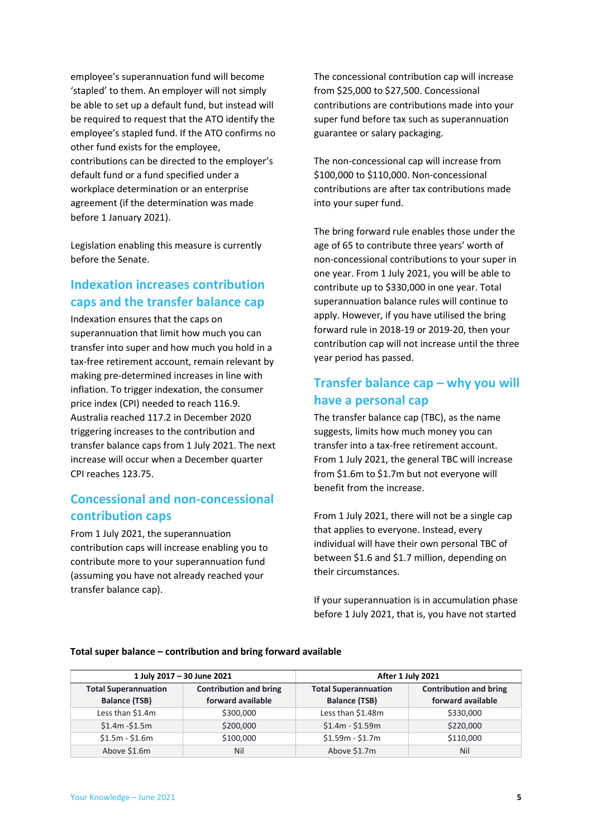employee's superannuation fund will become 'stapled' to them. An employer will not simply be able to set up a default fund, but instead will be required to request that the ATO identify the employee's stapled fund. If the ATO confirms no other fund exists for the employee, contributions can be directed to the employer's default fund or a fund specified under a workplace determination or an enterprise agreement (if the determination was made before 1 January 2021).

Legislation enabling this measure is currently before the Senate.

#### <span id="page-4-0"></span>**Indexation increases contribution caps and the transfer balance cap**

Indexation ensures that the caps on superannuation that limit how much you can transfer into super and how much you hold in a tax-free retirement account, remain relevant by making pre-determined increases in line with inflation. To trigger indexation, the consumer price index (CPI) needed to reach 116.9. Australia reached 117.2 in December 2020 triggering increases to the contribution and transfer balance caps from 1 July 2021. The next increase will occur when a December quarter CPI reaches 123.75.

### <span id="page-4-1"></span>**Concessional and non-concessional contribution caps**

From 1 July 2021, the superannuation contribution caps will increase enabling you to contribute more to your superannuation fund (assuming you have not already reached your transfer balance cap).

The concessional contribution cap will increase from \$25,000 to \$27,500. Concessional contributions are contributions made into your super fund before tax such as superannuation guarantee or salary packaging.

The non-concessional cap will increase from \$100,000 to \$110,000. Non-concessional contributions are after tax contributions made into your super fund.

The bring forward rule enables those under the age of 65 to contribute three years' worth of non-concessional contributions to your super in one year. From 1 July 2021, you will be able to contribute up to \$330,000 in one year. Total superannuation balance rules will continue to apply. However, if you have utilised the bring forward rule in 2018-19 or 2019-20, then your contribution cap will not increase until the three year period has passed.

### <span id="page-4-2"></span>**Transfer balance cap – why you will have a personal cap**

The transfer balance cap (TBC), as the name suggests, limits how much money you can transfer into a tax-free retirement account. From 1 July 2021, the general TBC will increase from \$1.6m to \$1.7m but not everyone will benefit from the increase.

From 1 July 2021, there will not be a single cap that applies to everyone. Instead, every individual will have their own personal TBC of between \$1.6 and \$1.7 million, depending on their circumstances.

If your superannuation is in accumulation phase before 1 July 2021, that is, you have not started

| 1 July 2017 - 30 June 2021                          |                                                    | After 1 July 2021                                   |                                                    |
|-----------------------------------------------------|----------------------------------------------------|-----------------------------------------------------|----------------------------------------------------|
| <b>Total Superannuation</b><br><b>Balance (TSB)</b> | <b>Contribution and bring</b><br>forward available | <b>Total Superannuation</b><br><b>Balance (TSB)</b> | <b>Contribution and bring</b><br>forward available |
| Less than \$1.4m                                    | \$300,000                                          | Less than \$1.48m                                   | \$330,000                                          |
| $$1.4m - $1.5m$                                     | \$200,000                                          | $$1.4m - $1.59m$                                    | \$220,000                                          |
| $$1.5m - $1.6m$                                     | \$100,000                                          | $$1.59m - $1.7m$                                    | \$110,000                                          |
| Above \$1.6m                                        | Nil                                                | Above \$1.7m                                        | Nil                                                |

#### **Total super balance – contribution and bring forward available**